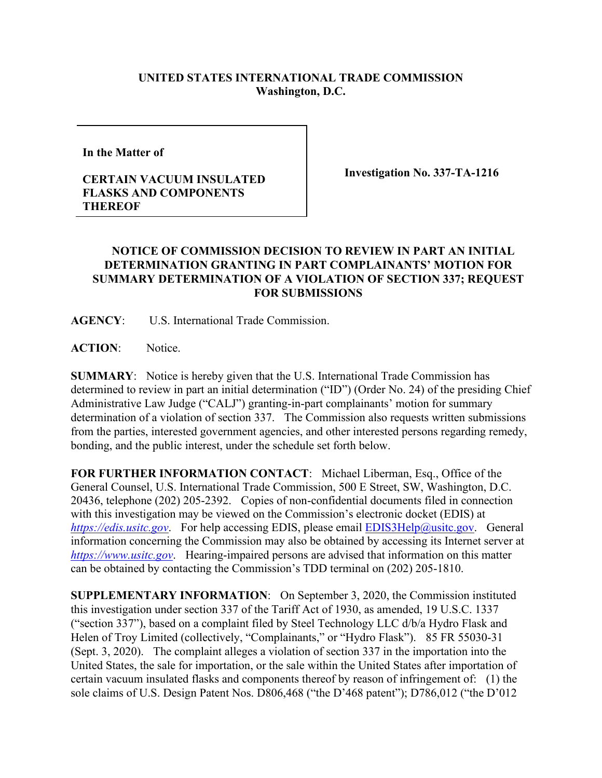## **UNITED STATES INTERNATIONAL TRADE COMMISSION Washington, D.C.**

**In the Matter of** 

## **CERTAIN VACUUM INSULATED FLASKS AND COMPONENTS THEREOF**

**Investigation No. 337-TA-1216**

## **NOTICE OF COMMISSION DECISION TO REVIEW IN PART AN INITIAL DETERMINATION GRANTING IN PART COMPLAINANTS' MOTION FOR SUMMARY DETERMINATION OF A VIOLATION OF SECTION 337; REQUEST FOR SUBMISSIONS**

**AGENCY**: U.S. International Trade Commission.

**ACTION**: Notice.

**SUMMARY**: Notice is hereby given that the U.S. International Trade Commission has determined to review in part an initial determination ("ID") (Order No. 24) of the presiding Chief Administrative Law Judge ("CALJ") granting-in-part complainants' motion for summary determination of a violation of section 337. The Commission also requests written submissions from the parties, interested government agencies, and other interested persons regarding remedy, bonding, and the public interest, under the schedule set forth below.

**FOR FURTHER INFORMATION CONTACT**: Michael Liberman, Esq., Office of the General Counsel, U.S. International Trade Commission, 500 E Street, SW, Washington, D.C. 20436, telephone (202) 205-2392. Copies of non-confidential documents filed in connection with this investigation may be viewed on the Commission's electronic docket (EDIS) at *[https://edis.usitc.gov](https://edis.usitc.gov/).* For help accessing EDIS, please email [EDIS3Help@usitc.gov.](mailto:EDIS3Help@usitc.gov) General information concerning the Commission may also be obtained by accessing its Internet server at *[https://www.usitc.gov](https://www.usitc.gov/)*. Hearing-impaired persons are advised that information on this matter can be obtained by contacting the Commission's TDD terminal on (202) 205-1810.

**SUPPLEMENTARY INFORMATION**: On September 3, 2020, the Commission instituted this investigation under section 337 of the Tariff Act of 1930, as amended, 19 U.S.C. 1337 ("section 337"), based on a complaint filed by Steel Technology LLC d/b/a Hydro Flask and Helen of Troy Limited (collectively, "Complainants," or "Hydro Flask"). 85 FR 55030-31 (Sept. 3, 2020). The complaint alleges a violation of section 337 in the importation into the United States, the sale for importation, or the sale within the United States after importation of certain vacuum insulated flasks and components thereof by reason of infringement of: (1) the sole claims of U.S. Design Patent Nos. D806,468 ("the D'468 patent"); D786,012 ("the D'012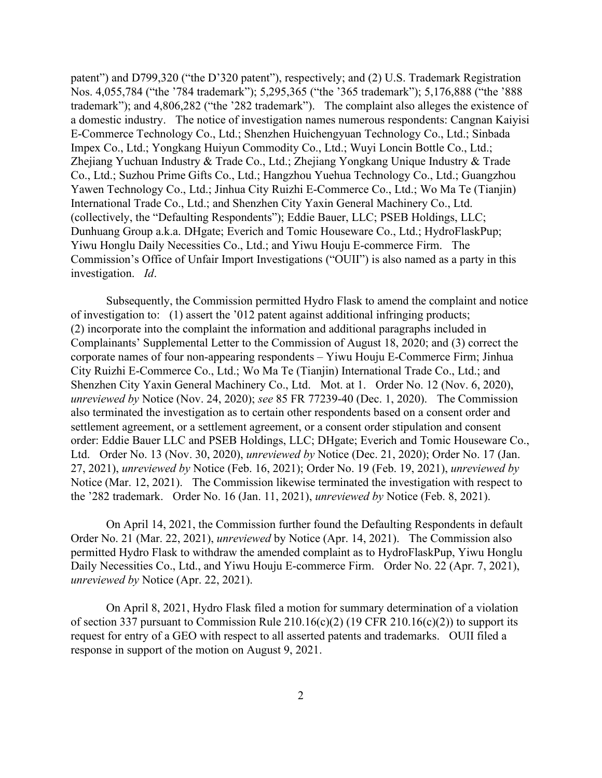patent") and D799,320 ("the D'320 patent"), respectively; and (2) U.S. Trademark Registration Nos. 4,055,784 ("the '784 trademark"); 5,295,365 ("the '365 trademark"); 5,176,888 ("the '888 trademark"); and 4,806,282 ("the '282 trademark"). The complaint also alleges the existence of a domestic industry. The notice of investigation names numerous respondents: Cangnan Kaiyisi E-Commerce Technology Co., Ltd.; Shenzhen Huichengyuan Technology Co., Ltd.; Sinbada Impex Co., Ltd.; Yongkang Huiyun Commodity Co., Ltd.; Wuyi Loncin Bottle Co., Ltd.; Zhejiang Yuchuan Industry & Trade Co., Ltd.; Zhejiang Yongkang Unique Industry & Trade Co., Ltd.; Suzhou Prime Gifts Co., Ltd.; Hangzhou Yuehua Technology Co., Ltd.; Guangzhou Yawen Technology Co., Ltd.; Jinhua City Ruizhi E-Commerce Co., Ltd.; Wo Ma Te (Tianjin) International Trade Co., Ltd.; and Shenzhen City Yaxin General Machinery Co., Ltd. (collectively, the "Defaulting Respondents"); Eddie Bauer, LLC; PSEB Holdings, LLC; Dunhuang Group a.k.a. DHgate; Everich and Tomic Houseware Co., Ltd.; HydroFlaskPup; Yiwu Honglu Daily Necessities Co., Ltd.; and Yiwu Houju E-commerce Firm. The Commission's Office of Unfair Import Investigations ("OUII") is also named as a party in this investigation. *Id*.

Subsequently, the Commission permitted Hydro Flask to amend the complaint and notice of investigation to: (1) assert the '012 patent against additional infringing products; (2) incorporate into the complaint the information and additional paragraphs included in Complainants' Supplemental Letter to the Commission of August 18, 2020; and (3) correct the corporate names of four non-appearing respondents – Yiwu Houju E-Commerce Firm; Jinhua City Ruizhi E-Commerce Co., Ltd.; Wo Ma Te (Tianjin) International Trade Co., Ltd.; and Shenzhen City Yaxin General Machinery Co., Ltd. Mot. at 1. Order No. 12 (Nov. 6, 2020), *unreviewed by* Notice (Nov. 24, 2020); *see* 85 FR 77239-40 (Dec. 1, 2020). The Commission also terminated the investigation as to certain other respondents based on a consent order and settlement agreement, or a settlement agreement, or a consent order stipulation and consent order: Eddie Bauer LLC and PSEB Holdings, LLC; DHgate; Everich and Tomic Houseware Co., Ltd. Order No. 13 (Nov. 30, 2020), *unreviewed by* Notice (Dec. 21, 2020); Order No. 17 (Jan. 27, 2021), *unreviewed by* Notice (Feb. 16, 2021); Order No. 19 (Feb. 19, 2021), *unreviewed by* Notice (Mar. 12, 2021). The Commission likewise terminated the investigation with respect to the '282 trademark. Order No. 16 (Jan. 11, 2021), *unreviewed by* Notice (Feb. 8, 2021).

On April 14, 2021, the Commission further found the Defaulting Respondents in default Order No. 21 (Mar. 22, 2021), *unreviewed* by Notice (Apr. 14, 2021). The Commission also permitted Hydro Flask to withdraw the amended complaint as to HydroFlaskPup, Yiwu Honglu Daily Necessities Co., Ltd., and Yiwu Houju E-commerce Firm. Order No. 22 (Apr. 7, 2021), *unreviewed by* Notice (Apr. 22, 2021).

On April 8, 2021, Hydro Flask filed a motion for summary determination of a violation of section 337 pursuant to Commission Rule  $210.16(c)(2)$  (19 CFR  $210.16(c)(2)$ ) to support its request for entry of a GEO with respect to all asserted patents and trademarks. OUII filed a response in support of the motion on August 9, 2021.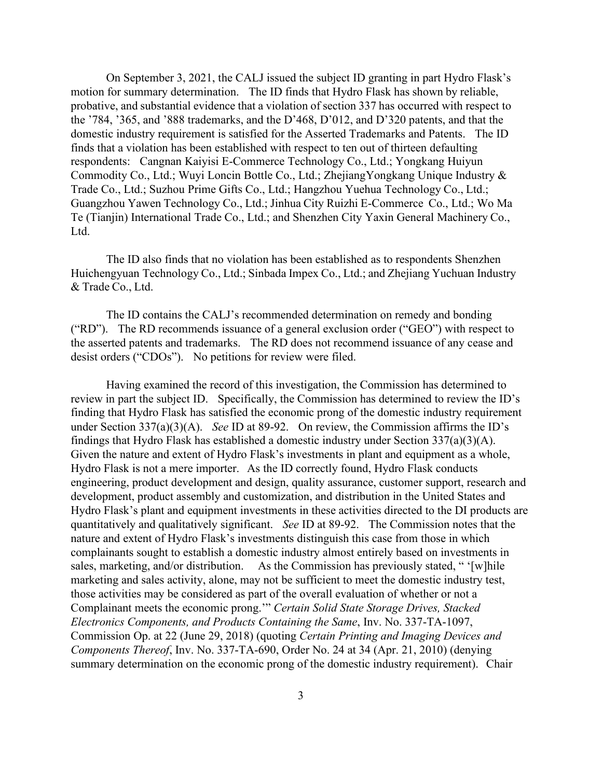On September 3, 2021, the CALJ issued the subject ID granting in part Hydro Flask's motion for summary determination. The ID finds that Hydro Flask has shown by reliable, probative, and substantial evidence that a violation of section 337 has occurred with respect to the '784, '365, and '888 trademarks, and the D'468, D'012, and D'320 patents, and that the domestic industry requirement is satisfied for the Asserted Trademarks and Patents. The ID finds that a violation has been established with respect to ten out of thirteen defaulting respondents: Cangnan Kaiyisi E-Commerce Technology Co., Ltd.; Yongkang Huiyun Commodity Co., Ltd.; Wuyi Loncin Bottle Co., Ltd.; ZhejiangYongkang Unique Industry & Trade Co., Ltd.; Suzhou Prime Gifts Co., Ltd.; Hangzhou Yuehua Technology Co., Ltd.; Guangzhou Yawen Technology Co., Ltd.; Jinhua City Ruizhi E-Commerce Co., Ltd.; Wo Ma Te (Tianjin) International Trade Co., Ltd.; and Shenzhen City Yaxin General Machinery Co., Ltd.

The ID also finds that no violation has been established as to respondents Shenzhen Huichengyuan Technology Co., Ltd.; Sinbada Impex Co., Ltd.; and Zhejiang Yuchuan Industry & Trade Co., Ltd.

The ID contains the CALJ's recommended determination on remedy and bonding ("RD"). The RD recommends issuance of a general exclusion order ("GEO") with respect to the asserted patents and trademarks. The RD does not recommend issuance of any cease and desist orders ("CDOs"). No petitions for review were filed.

Having examined the record of this investigation, the Commission has determined to review in part the subject ID. Specifically, the Commission has determined to review the ID's finding that Hydro Flask has satisfied the economic prong of the domestic industry requirement under Section 337(a)(3)(A). *See* ID at 89-92. On review, the Commission affirms the ID's findings that Hydro Flask has established a domestic industry under Section 337(a)(3)(A). Given the nature and extent of Hydro Flask's investments in plant and equipment as a whole, Hydro Flask is not a mere importer. As the ID correctly found, Hydro Flask conducts engineering, product development and design, quality assurance, customer support, research and development, product assembly and customization, and distribution in the United States and Hydro Flask's plant and equipment investments in these activities directed to the DI products are quantitatively and qualitatively significant. *See* ID at 89-92. The Commission notes that the nature and extent of Hydro Flask's investments distinguish this case from those in which complainants sought to establish a domestic industry almost entirely based on investments in sales, marketing, and/or distribution. As the Commission has previously stated, " '[w]hile marketing and sales activity, alone, may not be sufficient to meet the domestic industry test, those activities may be considered as part of the overall evaluation of whether or not a Complainant meets the economic prong.'" *Certain Solid State Storage Drives, Stacked Electronics Components, and Products Containing the Same*, Inv. No. 337-TA-1097, Commission Op. at 22 (June 29, 2018) (quoting *Certain Printing and Imaging Devices and Components Thereof*, Inv. No. 337-TA-690, Order No. 24 at 34 (Apr. 21, 2010) (denying summary determination on the economic prong of the domestic industry requirement). Chair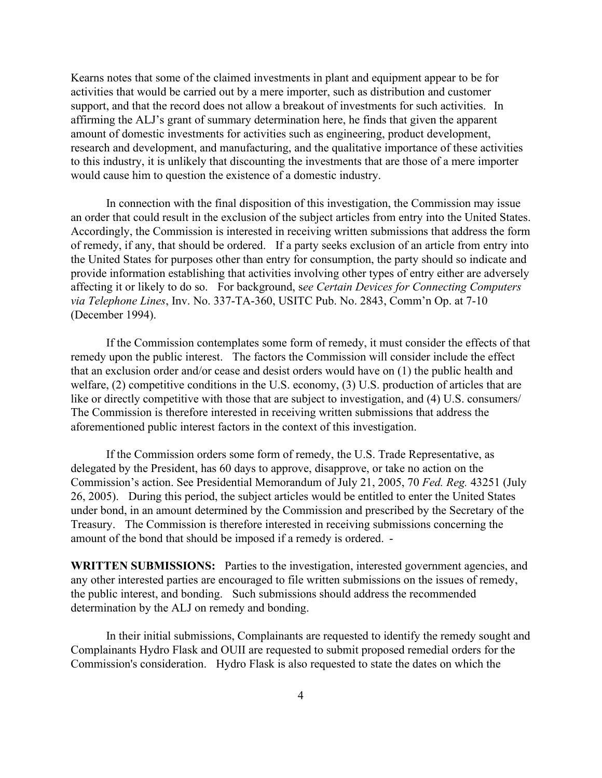Kearns notes that some of the claimed investments in plant and equipment appear to be for activities that would be carried out by a mere importer, such as distribution and customer support, and that the record does not allow a breakout of investments for such activities. In affirming the ALJ's grant of summary determination here, he finds that given the apparent amount of domestic investments for activities such as engineering, product development, research and development, and manufacturing, and the qualitative importance of these activities to this industry, it is unlikely that discounting the investments that are those of a mere importer would cause him to question the existence of a domestic industry.

In connection with the final disposition of this investigation, the Commission may issue an order that could result in the exclusion of the subject articles from entry into the United States. Accordingly, the Commission is interested in receiving written submissions that address the form of remedy, if any, that should be ordered. If a party seeks exclusion of an article from entry into the United States for purposes other than entry for consumption, the party should so indicate and provide information establishing that activities involving other types of entry either are adversely affecting it or likely to do so. For background, s*ee Certain Devices for Connecting Computers via Telephone Lines*, Inv. No. 337-TA-360, USITC Pub. No. 2843, Comm'n Op. at 7-10 (December 1994).

If the Commission contemplates some form of remedy, it must consider the effects of that remedy upon the public interest. The factors the Commission will consider include the effect that an exclusion order and/or cease and desist orders would have on (1) the public health and welfare, (2) competitive conditions in the U.S. economy, (3) U.S. production of articles that are like or directly competitive with those that are subject to investigation, and (4) U.S. consumers/ The Commission is therefore interested in receiving written submissions that address the aforementioned public interest factors in the context of this investigation.

If the Commission orders some form of remedy, the U.S. Trade Representative, as delegated by the President, has 60 days to approve, disapprove, or take no action on the Commission's action. See Presidential Memorandum of July 21, 2005, 70 *Fed. Reg.* 43251 (July 26, 2005). During this period, the subject articles would be entitled to enter the United States under bond, in an amount determined by the Commission and prescribed by the Secretary of the Treasury. The Commission is therefore interested in receiving submissions concerning the amount of the bond that should be imposed if a remedy is ordered. -

**WRITTEN SUBMISSIONS:** Parties to the investigation, interested government agencies, and any other interested parties are encouraged to file written submissions on the issues of remedy, the public interest, and bonding. Such submissions should address the recommended determination by the ALJ on remedy and bonding.

In their initial submissions, Complainants are requested to identify the remedy sought and Complainants Hydro Flask and OUII are requested to submit proposed remedial orders for the Commission's consideration. Hydro Flask is also requested to state the dates on which the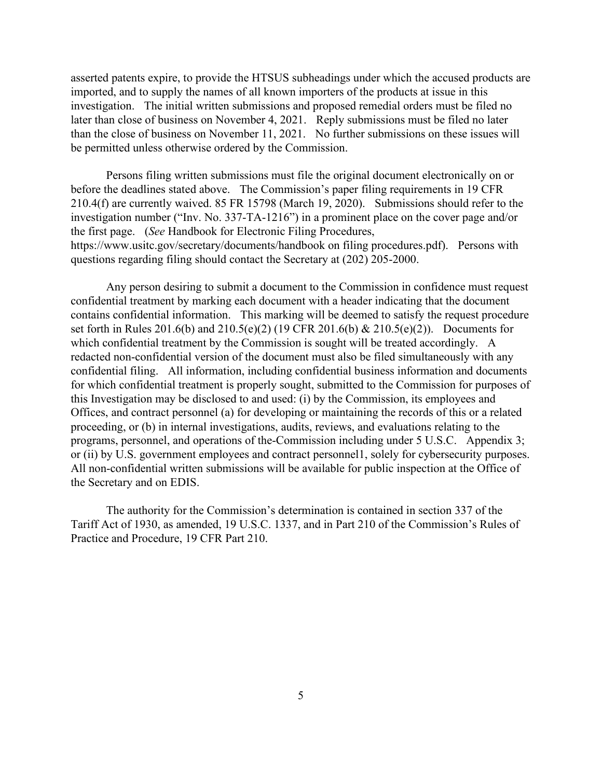asserted patents expire, to provide the HTSUS subheadings under which the accused products are imported, and to supply the names of all known importers of the products at issue in this investigation. The initial written submissions and proposed remedial orders must be filed no later than close of business on November 4, 2021. Reply submissions must be filed no later than the close of business on November 11, 2021. No further submissions on these issues will be permitted unless otherwise ordered by the Commission.

Persons filing written submissions must file the original document electronically on or before the deadlines stated above. The Commission's paper filing requirements in 19 CFR 210.4(f) are currently waived. 85 FR 15798 (March 19, 2020). Submissions should refer to the investigation number ("Inv. No. 337-TA-1216") in a prominent place on the cover page and/or the first page. (*See* Handbook for Electronic Filing Procedures, https://www.usitc.gov/secretary/documents/handbook on filing procedures.pdf). Persons with questions regarding filing should contact the Secretary at (202) 205-2000.

Any person desiring to submit a document to the Commission in confidence must request confidential treatment by marking each document with a header indicating that the document contains confidential information. This marking will be deemed to satisfy the request procedure set forth in Rules 201.6(b) and 210.5(e)(2) (19 CFR 201.6(b) & 210.5(e)(2)). Documents for which confidential treatment by the Commission is sought will be treated accordingly. A redacted non-confidential version of the document must also be filed simultaneously with any confidential filing. All information, including confidential business information and documents for which confidential treatment is properly sought, submitted to the Commission for purposes of this Investigation may be disclosed to and used: (i) by the Commission, its employees and Offices, and contract personnel (a) for developing or maintaining the records of this or a related proceeding, or (b) in internal investigations, audits, reviews, and evaluations relating to the programs, personnel, and operations of the-Commission including under 5 U.S.C. Appendix 3; or (ii) by U.S. government employees and contract personnel1, solely for cybersecurity purposes. All non-confidential written submissions will be available for public inspection at the Office of the Secretary and on EDIS.

The authority for the Commission's determination is contained in section 337 of the Tariff Act of 1930, as amended, 19 U.S.C. 1337, and in Part 210 of the Commission's Rules of Practice and Procedure, 19 CFR Part 210.